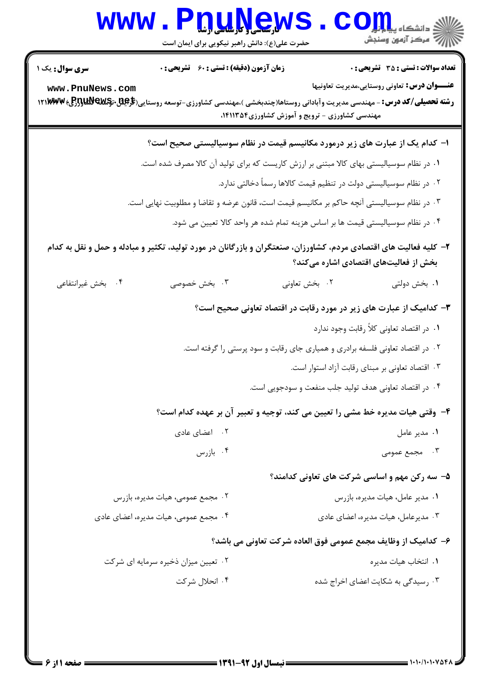|                                           | www.PnuNews<br>حضرت علی(ع): دانش راهبر نیکویی برای ایمان است                                                      |                                                                               | ان دانشکاه پیام <mark>بر</mark><br>ان مرکز آزمون وسنجش                                              |
|-------------------------------------------|-------------------------------------------------------------------------------------------------------------------|-------------------------------------------------------------------------------|-----------------------------------------------------------------------------------------------------|
| <b>سری سوال :</b> یک ۱<br>www.PnuNews.com | <b>زمان آزمون (دقیقه) : تستی : 60 ٪ تشریحی : 0</b>                                                                |                                                                               | <b>تعداد سوالات : تستی : 35 - تشریحی : 0</b><br><b>عنـــوان درس:</b> تعاونی روستایی،مدیریت تعاونیها |
|                                           |                                                                                                                   | مهندسی کشاورزی - ترویج و آموزش کشاورزی۲۵۴،۳۱۱۳۵۴،                             |                                                                                                     |
|                                           | ا– کدام یک از عبارت های زیر درمورد مکانیسم قیمت در نظام سوسیالیستی صحیح است؟                                      |                                                                               |                                                                                                     |
|                                           | ۰۱ در نظام سوسیالیستی بهای کالا مبتنی بر ارزش کاریست که برای تولید آن کالا مصرف شده است.                          |                                                                               |                                                                                                     |
|                                           |                                                                                                                   | ۲ . در نظام سوسیالیستی دولت در تنظیم قیمت کالاها رسماً دخالتی ندارد.          |                                                                                                     |
|                                           | ۰۳ در نظام سوسیالیستی آنچه حاکم بر مکانیسم قیمت است، قانون عرضه و تقاضا و مطلوبیت نهایی است.                      |                                                                               |                                                                                                     |
|                                           | ۰۴ در نظام سوسیالیستی قیمت ها بر اساس هزینه تمام شده هر واحد کالا تعیین می شود.                                   |                                                                               |                                                                                                     |
|                                           | ۲– کلیه فعالیت های اقتصادی مردم، کشاورزان، صنعتگران و بازرگانان در مورد تولید، تکثیر و مبادله و حمل و نقل به کدام |                                                                               | بخش از فعالیتهای اقتصادی اشاره میکند؟                                                               |
| ۰۴ بخش غیرانتفاعی                         | ۰۳ بخش خصوصی                                                                                                      | ۰۲ بخش تعاونی                                                                 | ۰۱ بخش دولتی                                                                                        |
|                                           |                                                                                                                   |                                                                               | ۳- کدامیک از عبارت های زیر در مورد رقابت در اقتصاد تعاونی صحیح است؟                                 |
|                                           |                                                                                                                   |                                                                               | ۰۱ در اقتصاد تعاونی کلاً رقابت وجود ندارد                                                           |
|                                           |                                                                                                                   | ۰۲ در اقتصاد تعاونی فلسفه برادری و همیاری جای رقابت و سود پرستی را گرفته است. |                                                                                                     |
|                                           |                                                                                                                   |                                                                               | ۰۳ اقتصاد تعاونی بر مبنای رقابت آزاد استوار است.                                                    |
|                                           |                                                                                                                   | ۰۴ در اقتصاد تعاونی هدف تولید جلب منفعت و سودجویی است.                        |                                                                                                     |
|                                           | ۴- وقتی هیات مدیره خط مشی را تعیین می کند، توجیه و تعبیر آن بر عهده کدام است؟                                     |                                                                               |                                                                                                     |
|                                           | ۰۲ اعضای عادی                                                                                                     |                                                                               | ۰۱ مدیر عامل                                                                                        |
|                                           | ۰۴ بازرس                                                                                                          |                                                                               | ۰۳ مجمع عمومی                                                                                       |
|                                           |                                                                                                                   |                                                                               | ۵- سه رکن مهم و اساسی شرکت های تعاونی کدامند؟                                                       |
|                                           | ۰۲ مجمع عمومی، هیات مدیره، بازرس                                                                                  |                                                                               | ٠١ مدير عامل، هيات مديره، بازرس                                                                     |
|                                           | ۰۴ مجمع عمومی، هیات مدیره، اعضای عادی                                                                             |                                                                               | ۰۳ مدیرعامل، هیات مدیره، اعضای عادی                                                                 |
|                                           |                                                                                                                   |                                                                               | ۶– کدامیک از وظایف مجمع عمومی فوق العاده شرکت تعاونی می باشد؟                                       |
|                                           | ۰۲ تعیین میزان ذخیره سرمایه ای شرکت                                                                               |                                                                               | ٠١. انتخاب هيات مديره                                                                               |
|                                           | ۰۴ انحلال شركت                                                                                                    |                                                                               | ۰۳ رسیدگی به شکایت اعضای اخراج شده                                                                  |
|                                           |                                                                                                                   |                                                                               |                                                                                                     |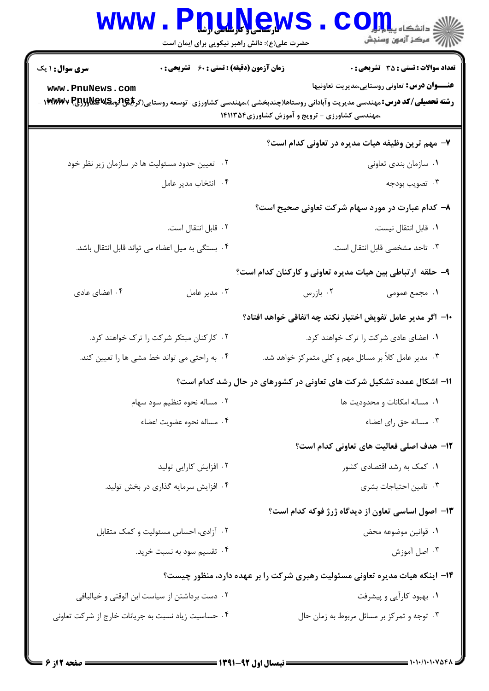| <b>WWW</b>                                                                                                                                                     | <b>IQUAGV</b><br>حضرت علی(ع): دانش راهبر نیکویی برای ایمان است | : دانشگاه پیام <mark>بر</mark><br>أأأأآ مركز آزمون وسنجش                    |
|----------------------------------------------------------------------------------------------------------------------------------------------------------------|----------------------------------------------------------------|-----------------------------------------------------------------------------|
| <b>سری سوال : ۱ یک</b>                                                                                                                                         | <b>زمان آزمون (دقیقه) : تستی : 60 ٪ تشریحی : 0</b>             | <b>تعداد سوالات : تستی : 35 گشریحی : 0</b>                                  |
| www.PnuNews.com<br><b>رشته تحصیلی/کد درس:</b> مهندسی مدیریت وآبادانی روستاها(چندبخشی )،مهندسی کشاورزی-توسعه روستایی(گر <b>بلِگِ[گرمگالاولاولیج ۱۴۲۸/۱۷</b> ۷ - | ،مهندسی کشاورزی - ترویج و آموزش کشاورزی۱۴۱۱۳۵۴                 | <b>عنـــوان درس:</b> تعاوني روستايي،مديريت تعاونيها                         |
|                                                                                                                                                                |                                                                | ۷- مهم ترین وظیفه هیات مدیره در تعاونی کدام است؟                            |
| ۰۲ تعیین حدود مسئولیت ها در سازمان زیر نظر خود                                                                                                                 |                                                                | ۰۱ سازمان بندی تعاونی                                                       |
| ۰۴ انتخاب مدير عامل                                                                                                                                            |                                                                | ۰۳ تصويب بودجه                                                              |
|                                                                                                                                                                |                                                                | ۸– کدام عبارت در مورد سهام شرکت تعاونی صحیح است؟                            |
| ۰۲ قابل انتقال است.                                                                                                                                            |                                                                | ۰۱ قابل انتقال نیست.                                                        |
| ۰۴ بستگی به میل اعضاء می تواند قابل انتقال باشد.                                                                                                               |                                                                | ٠٣ تاحد مشخصى قابل انتقال است.                                              |
|                                                                                                                                                                |                                                                | ۹- حلقه ارتباطي بين هيات مديره تعاوني و كاركنان كدام است؟                   |
| ۰۴ اعضای عادی                                                                                                                                                  | ۰۳ مدیر عامل                                                   | ۰۲ بازرس<br>١. مجمع عمومى                                                   |
|                                                                                                                                                                |                                                                | ∙ا− اگر مدیر عامل تفویض اختیار نکند چه اتفاقی خواهد افتاد؟                  |
| ۰۲ کارکنان مبتکر شرکت را ترک خواهند کرد.                                                                                                                       |                                                                | ۰۱ اعضای عادی شرکت را ترک خواهند کرد.                                       |
| ۰۴ به راحتی می تواند خط مشی ها را تعیین کند.                                                                                                                   |                                                                | ۰۳ مدیر عامل کلاً بر مسائل مهم و کلی متمرکز خواهد شد.                       |
|                                                                                                                                                                |                                                                | ۱۱- اشکال عمده تشکیل شرکت های تعاونی در کشورهای در حال رشد کدام است؟        |
| ۰۲ مساله نحوه تنظیم سود سهام                                                                                                                                   |                                                                | ٠١. مساله امكانات و محدوديت ها                                              |
| ۰۴ مساله نحوه عضويت اعضاء                                                                                                                                      |                                                                | ۰۳ مساله حق رای اعضاء                                                       |
|                                                                                                                                                                |                                                                | <b>۱۲</b> - هدف اصلی فعالیت های تعاونی کدام است؟                            |
| ۰۲ افزایش کارایی تولید                                                                                                                                         |                                                                | ۰۱ کمک به رشد اقتصادی کشور                                                  |
| ۰۴ افزایش سرمایه گذاری در بخش تولید.                                                                                                                           |                                                                | ۰۳ تامین احتیاجات بشری                                                      |
|                                                                                                                                                                |                                                                | ۱۳– اصول اساسی تعاون از دیدگاه ژرژ فوکه کدام است؟                           |
| ۰۲ آزادی، احساس مسئولیت و کمک متقابل                                                                                                                           |                                                                | ٠١. قوانين موضوعه محض                                                       |
| ۰۴ تقسیم سود به نسبت خرید.                                                                                                                                     |                                                                | ۰۳ اصل آموزش                                                                |
|                                                                                                                                                                |                                                                | ۱۴- اینکه هیات مدیره تعاونی مسئولیت رهبری شرکت را بر عهده دارد، منظور چیست؟ |
| ۰۲ دست برداشتن از سیاست ابن الوقتی و خیالبافی                                                                                                                  |                                                                | ۰۱ بهبود کارآیی و پیشرفت                                                    |
| ۰۴ حساسیت زیاد نسبت به جریانات خارج از شرکت تعاونی                                                                                                             |                                                                | ۰۳ توجه و تمرکز بر مسائل مربوط به زمان حال                                  |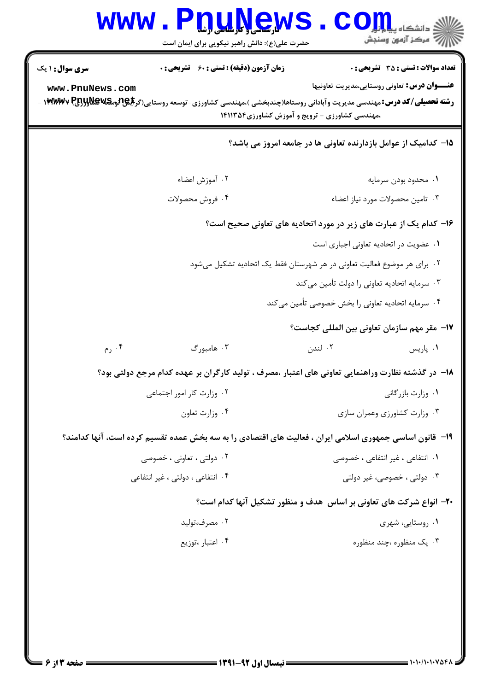|                                  | www.PnuNews<br>حضرت علی(ع): دانش راهبر نیکویی برای ایمان است | الله دانشگاه پیاو <mark>ر (</mark><br>الله مرکز آزمون وسنجش                                                                                                                                                                                            |
|----------------------------------|--------------------------------------------------------------|--------------------------------------------------------------------------------------------------------------------------------------------------------------------------------------------------------------------------------------------------------|
| <b>سری سوال : ۱ یک</b>           | <b>زمان آزمون (دقیقه) : تستی : 60 ٪ تشریحی : 0</b>           | <b>تعداد سوالات : تستی : 35 ٪ تشریحی : 0</b>                                                                                                                                                                                                           |
| www.PnuNews.com                  |                                                              | <b>عنـــوان درس:</b> تعاونی روستایی،مدیریت تعاونیها<br><b>رشته تحصیلی/کد درس:</b> مهندسی مدیریت وآبادانی روستاها(چندبخشی )،مهندسی کشاورزی-توسعه روستایی(گر <b>بلِگِ(لومگلاولاولی) ۱۳۷۸/۷</b> ۷ -<br>،مهندسی کشاورزی - ترویج و آموزش کشاورزی۲۵۴ ۱۴۱۱۳۵۴ |
|                                  |                                                              | ۱۵– کدامیک از عوامل بازدارنده تعاونی ها در جامعه امروز می باشد؟                                                                                                                                                                                        |
|                                  | ۰۲ آموزش اعضاء                                               | ٠١ محدود بودن سرمايه                                                                                                                                                                                                                                   |
|                                  | ۰۴ فروش محصولات                                              | ۰۳ تامین محصولات مورد نیاز اعضاء                                                                                                                                                                                                                       |
|                                  |                                                              | ۱۶- کدام یک از عبارت های زیر در مورد اتحادیه های تعاونی صحیح است؟                                                                                                                                                                                      |
|                                  |                                                              | ٠١ عضويت در اتحاديه تعاوني اجباري است                                                                                                                                                                                                                  |
|                                  |                                                              | ۲. برای هر موضوع فعالیت تعاونی در هر شهرستان فقط یک اتحادیه تشکیل میشود                                                                                                                                                                                |
|                                  |                                                              | ۰۳ سرمایه اتحادیه تعاونی را دولت تأمین میکند                                                                                                                                                                                                           |
|                                  |                                                              | ۰۴ سرمایه اتحادیه تعاونی را بخش خصوصی تأمین می کند                                                                                                                                                                                                     |
|                                  |                                                              | 17- مقر مهم سازمان تعاوني بين المللي كجاست؟                                                                                                                                                                                                            |
| ۰۴ رم                            | ۰۳ هامبورگ                                                   | ۰۲ لندن<br>۰۱ پاریس                                                                                                                                                                                                                                    |
|                                  |                                                              | ۱۸− در گذشته نظارت وراهنمایی تعاونی های اعتبار ،مصرف ، تولید کارگران بر عهده کدام مرجع دولتی بود؟                                                                                                                                                      |
|                                  | ۰۲ وزارت کار امور اجتماعی                                    | ٠١. وزارت بازرگاني                                                                                                                                                                                                                                     |
|                                  | ۰۴ وزارت تعاون                                               | ۰۳ وزارت کشاورزی وعمران سازی                                                                                                                                                                                                                           |
|                                  |                                                              | ۱۹- قانون اساسی جمهوری اسلامی ایران ، فعالیت های اقتصادی را به سه بخش عمده تقسیم کرده است، آنها کدامند؟                                                                                                                                                |
|                                  | ۰۲ دولتی ، تعاونی ، خصوصی                                    | ۰۱ انتفاعی ، غیر انتفاعی ، خصوصی                                                                                                                                                                                                                       |
| ۰۴ انتفاعی ، دولتی ، غیر انتفاعی |                                                              | ۰۳ دولتی ، خصوصی، غیر دولتی                                                                                                                                                                                                                            |
|                                  |                                                              | ۲۰- انواع شرکت های تعاونی بر اساس ًهدف و منظور تشکیل آنها کدام است؟                                                                                                                                                                                    |
|                                  | ۰۲ مصرف،تولید                                                | ۰۱ روستایی، شهری                                                                                                                                                                                                                                       |
|                                  | ۰۴ اعتبار ،توزيع                                             | ۰۳ یک منظوره ،چند منظوره                                                                                                                                                                                                                               |
|                                  |                                                              |                                                                                                                                                                                                                                                        |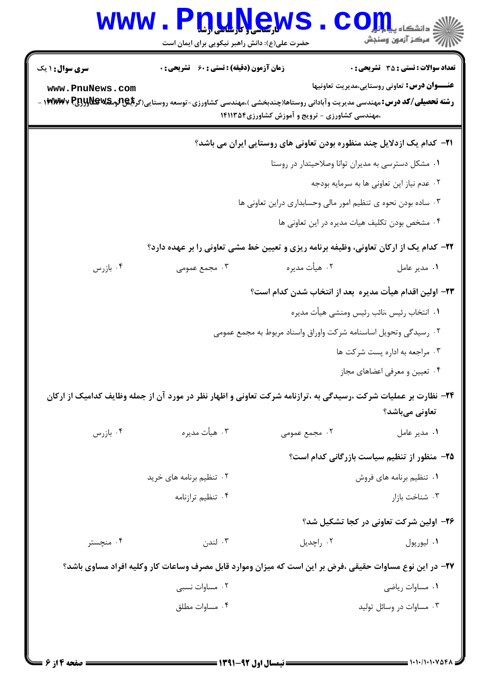|                                           | www.Pnunews<br>حضرت علی(ع): دانش راهبر نیکویی برای ایمان است                                                                                                                                |                                                                               | دانشڪاء پيا <mark>۾ اور</mark><br>اڳ مرڪز آزمون وسنڊش                                                                                                            |
|-------------------------------------------|---------------------------------------------------------------------------------------------------------------------------------------------------------------------------------------------|-------------------------------------------------------------------------------|------------------------------------------------------------------------------------------------------------------------------------------------------------------|
| <b>سری سوال : ۱ یک</b><br>www.PnuNews.com | <b>زمان آزمون (دقیقه) : تستی : 60 ٪ تشریحی : 0</b><br><b>رشته تحصیلی/کد درس:</b> مهندسی مدیریت وآبادانی روستاها(چندبخشی )،مهندسی کشاورزی-توسعه روستایی(گر <b>بلیPتومکلاولولیRywv P</b><br>. | ،مهندسی کشاورزی - ترویج و آموزش کشاورزی ۱۴۱۱۳۵۴                               | <b>تعداد سوالات : تستی : 35 تشریحی : 0</b><br><b>عنـــوان درس:</b> تعاونی روستایی،مدیریت تعاونیها                                                                |
|                                           |                                                                                                                                                                                             | <b>۲۱</b> - کدام یک ازدلایل چند منظوره بودن تعاونی های روستایی ایران می باشد؟ | ۰۱ مشکل دسترسی به مدیران توانا وصلاحیتدار در روستا<br>۰۲ عدم نیاز این تعاونی ها به سرمایه بودجه                                                                  |
|                                           |                                                                                                                                                                                             | ۰۳ ساده بودن نحوه ی تنظیم امور مالی وحسابداری دراین تعاونی ها                 | ۰۴ مشخص بودن تكليف هيات مديره در اين تعاوني ها                                                                                                                   |
| ا بازرس $\cdot$ ۴                         | ۰۳ مجمع عمومی                                                                                                                                                                               | ۰۲ هيأت مديره                                                                 | ۲۲- کدام یک از ارکان تعاونی، وظیفه برنامه ریزی و تعیین خط مشی تعاونی را بر عهده دارد؟<br>۰۱ مدیر عامل<br>٢٣- اولين اقدام هيأت مديره  بعد از انتخاب شدن كدام است؟ |
|                                           |                                                                                                                                                                                             | ۰۲ رسیدگی وتحویل اساسنامه شرکت واوراق واسناد مربوط به مجمع عمومی              | ٠١ انتخاب رئيس ،نائب رئيس ومنشى هيأت مديره<br>۰۳ مراجعه به اداره پست شرکت ها                                                                                     |
|                                           | ۲۴– نظارت بر عملیات شرکت ،رسیدگی به ،ترازنامه شرکت تعاونی و اظهار نظر در مورد آن از جمله وظایف کدامیک از ارکان                                                                              |                                                                               | ۰۴ تعیین و معرفی اعضاهای مجاز<br>تعاونی میباشد؟                                                                                                                  |
| ۰۴ بازرس                                  | ۰۳ هيأت مديره                                                                                                                                                                               | ۰۲ مجمع عمومی                                                                 | ٠١ مدير عامل<br>۲۵- منظور از تنظیم سیاست بازرگانی کدام است؟                                                                                                      |
|                                           | ۰۲ تنظیم برنامه های خرید<br>۰۴ تنظیم ترازنامه                                                                                                                                               |                                                                               | ۰۱ تنظیم برنامه های فروش<br>۰۳ شناخت بازار<br>۲۶– اولین شرکت تعاونی در کجا تشکیل شد؟                                                                             |
| ۰۴ منچستر                                 | ۰۳ لندن<br>۲۷– در این نوع مساوات حقیقی ،فرض بر این است که میزان وموارد قابل مصرف وساعات کار وکلیه افراد مساوی باشد؟                                                                         | ۰۲ راچدیل                                                                     | ۰۱ ليورپول                                                                                                                                                       |
|                                           | ۰۲ مساوات نسبی<br>۰۴ مساوات مطلق                                                                                                                                                            |                                                                               | ٠١. مساوات رياضي<br>۰۳ مساوات در وسائل تولید                                                                                                                     |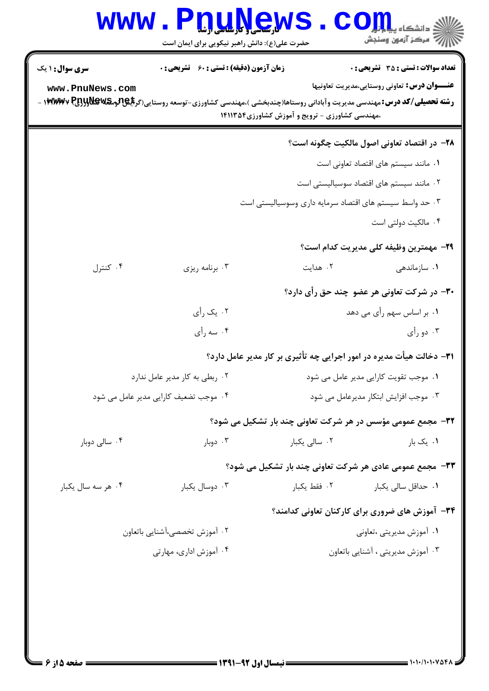|                                       | حضرت علی(ع): دانش راهبر نیکویی برای ایمان است      |                                                                      | أأأ مركز آزمون وسنجش                                |
|---------------------------------------|----------------------------------------------------|----------------------------------------------------------------------|-----------------------------------------------------|
| <b>سری سوال :</b> ۱ یک                | <b>زمان آزمون (دقیقه) : تستی : 60 ٪ تشریحی : 0</b> |                                                                      | <b>تعداد سوالات : تستی : 35 - تشریحی : 0</b>        |
| www.PnuNews.com                       |                                                    | ،مهندسی کشاورزی - ترویج و آموزش کشاورزی ۱۴۱۱۳۵۴                      | <b>عنـــوان درس:</b> تعاونی روستایی،مدیریت تعاونیها |
|                                       |                                                    |                                                                      | ۲۸– در اقتصاد تعاونی اصول مالکیت چگونه است؟         |
|                                       |                                                    |                                                                      | ٠١ مانند سيستم هاى اقتصاد تعاونى است                |
|                                       |                                                    |                                                                      | ۰۲ مانند سیستم های اقتصاد سوسیالیستی است            |
|                                       |                                                    | ۰۳ حد واسط سیستم های اقتصاد سرمایه داری وسوسیالیستی است              |                                                     |
|                                       |                                                    |                                                                      | ۰۴ مالکیت دولتی است                                 |
|                                       |                                                    |                                                                      | <b>٢٩</b> - مهمترين وظيفه كلي مديريت كدام است؟      |
| ۰۴ کنترل                              | ۰۳ برنامه ریزی                                     | ۰۲ هدایت                                                             | ۰۱ سازماندهی                                        |
|                                       |                                                    |                                                                      | ۳۰– در شرکت تعاونی هر عضو چند حق رأی دارد؟          |
|                                       | ۰۲ يک رأي                                          |                                                                      | ۰۱ بر اساس سهم رأی می دهد                           |
|                                       | ۰۴ سه رأي                                          |                                                                      | ۰۳ دو رأي                                           |
|                                       |                                                    | ۳۱- دخالت هیأت مدیره در امور اجرایی چه تأثیری بر کار مدیر عامل دارد؟ |                                                     |
|                                       | ۰۲ ربطی به کار مدیر عامل ندارد                     | ۰۱ موجب تقویت کارایی مدیر عامل می شود                                |                                                     |
| ۰۴ موجب تضعیف کارایی مدیر عامل می شود |                                                    |                                                                      | ۰۳ موجب افزایش ابتکار مدیرعامل می شود               |
|                                       |                                                    | ۳۲- مجمع عمومی مؤسس در هر شرکت تعاونی چند بار تشکیل می شود؟          |                                                     |
| ۰۴ سالی دوبار                         | ۰۳ دوبار $\cdot$                                   | ۰۲ سال <sub>ی</sub> یکبار                                            | ۰۱ یک بار                                           |
|                                       |                                                    | 33- مجمع عمومی عادی هر شرکت تعاونی چند بار تشکیل می شود؟             |                                                     |
| ۰۴ هر سه سال یکبار                    | ۰۳ دوسال یکبار                                     | ۰۲ فقط یکبار                                                         | ۰۱ حداقل سالی یکبار                                 |
|                                       |                                                    | ۳۴- آموزش های ضروری برای کارکنان تعاونی کدامند؟                      |                                                     |
|                                       | ۰۲ آموزش تخصصی،آشنایی باتعاون                      |                                                                      | ۰۱ آموزش مدیریتی ،تعاونی                            |
| ۰۴ آموزش اداری، مهارتی                |                                                    |                                                                      | ۰۳ آموزش مدیریتی ، آشنایی باتعاون                   |